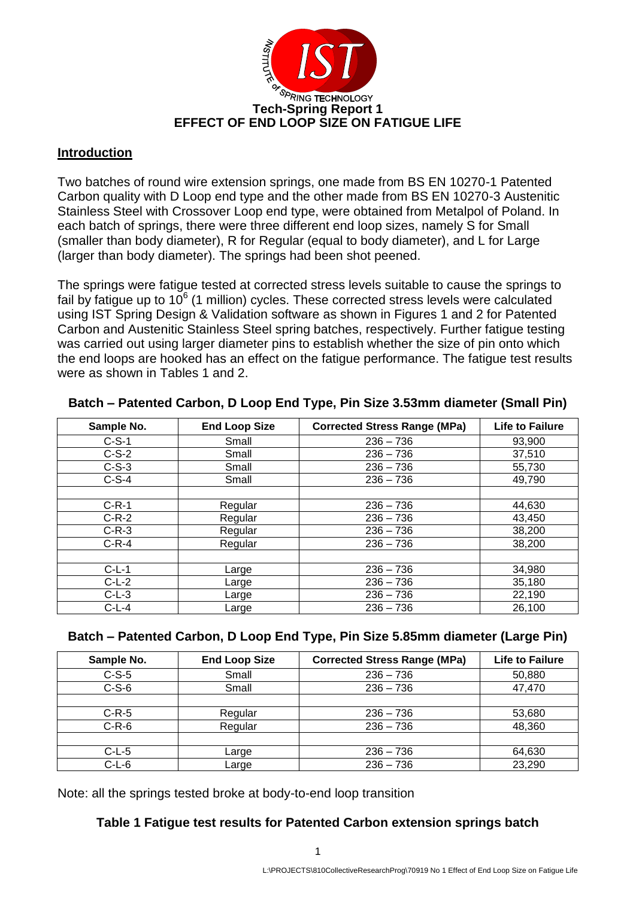

#### **Introduction**

Two batches of round wire extension springs, one made from BS EN 10270-1 Patented Carbon quality with D Loop end type and the other made from BS EN 10270-3 Austenitic Stainless Steel with Crossover Loop end type, were obtained from Metalpol of Poland. In each batch of springs, there were three different end loop sizes, namely S for Small (smaller than body diameter), R for Regular (equal to body diameter), and L for Large (larger than body diameter). The springs had been shot peened.

The springs were fatigue tested at corrected stress levels suitable to cause the springs to fail by fatigue up to  $10^6$  (1 million) cycles. These corrected stress levels were calculated using IST Spring Design & Validation software as shown in Figures 1 and 2 for Patented Carbon and Austenitic Stainless Steel spring batches, respectively. Further fatigue testing was carried out using larger diameter pins to establish whether the size of pin onto which the end loops are hooked has an effect on the fatigue performance. The fatigue test results were as shown in Tables 1 and 2.

| Sample No. | <b>End Loop Size</b> | <b>Corrected Stress Range (MPa)</b> | <b>Life to Failure</b> |
|------------|----------------------|-------------------------------------|------------------------|
| $C-S-1$    | Small                | $236 - 736$                         | 93,900                 |
| $C-S-2$    | Small                | $236 - 736$                         | 37,510                 |
| $C-S-3$    | Small                | $236 - 736$                         | 55,730                 |
| $C-S-4$    | Small                | $236 - 736$                         | 49,790                 |
|            |                      |                                     |                        |
| $C-R-1$    | Regular              | $236 - 736$                         | 44,630                 |
| $C-R-2$    | Regular              | $236 - 736$                         | 43,450                 |
| $C-R-3$    | Regular              | $236 - 736$                         | 38,200                 |
| $C-R-4$    | Regular              | $236 - 736$                         | 38,200                 |
|            |                      |                                     |                        |
| $C-L-1$    | Large                | $236 - 736$                         | 34,980                 |
| $C-L-2$    | Large                | $236 - 736$                         | 35,180                 |
| $C-L-3$    | Large                | $236 - 736$                         | 22,190                 |
| $C-L-4$    | Large                | $236 - 736$                         | 26,100                 |

#### **Batch – Patented Carbon, D Loop End Type, Pin Size 3.53mm diameter (Small Pin)**

#### **Batch – Patented Carbon, D Loop End Type, Pin Size 5.85mm diameter (Large Pin)**

| Sample No. | <b>End Loop Size</b> | <b>Corrected Stress Range (MPa)</b> | <b>Life to Failure</b> |  |  |
|------------|----------------------|-------------------------------------|------------------------|--|--|
| $C-S-5$    | Small                | $236 - 736$                         | 50,880                 |  |  |
| $C-S-6$    | Small                | $236 - 736$                         | 47,470                 |  |  |
|            |                      |                                     |                        |  |  |
| $C-R-5$    | Regular              | $236 - 736$                         | 53,680                 |  |  |
| $C-R-6$    | Regular              | $236 - 736$                         | 48,360                 |  |  |
|            |                      |                                     |                        |  |  |
| $C-L-5$    | Large                | $236 - 736$                         | 64,630                 |  |  |
| $C-L-6$    | Large                | $236 - 736$                         | 23,290                 |  |  |

Note: all the springs tested broke at body-to-end loop transition

#### **Table 1 Fatigue test results for Patented Carbon extension springs batch**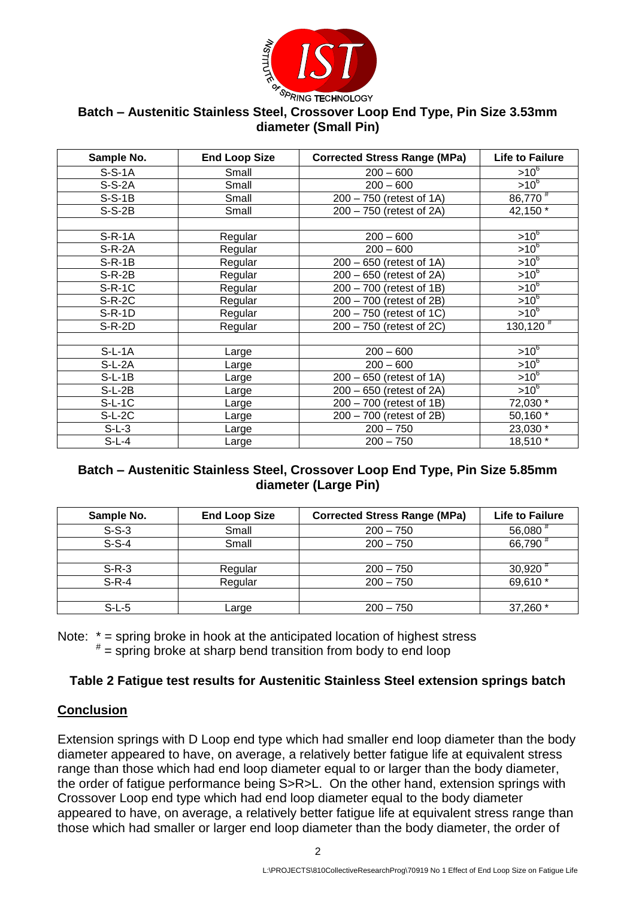

## **Batch – Austenitic Stainless Steel, Crossover Loop End Type, Pin Size 3.53mm diameter (Small Pin)**

| Sample No. | <b>End Loop Size</b> | <b>Corrected Stress Range (MPa)</b> | <b>Life to Failure</b>    |  |  |  |
|------------|----------------------|-------------------------------------|---------------------------|--|--|--|
| $S-S-1A$   | Small                | $200 - 600$                         | $>10^{6}$                 |  |  |  |
| $S-S-2A$   | Small                | $200 - 600$                         | $>10^{6}$                 |  |  |  |
| $S-S-1B$   | Small                | 200 - 750 (retest of 1A)            | 86,770                    |  |  |  |
| $S-S-2B$   | Small                | 200 - 750 (retest of 2A)            | 42,150 $\overline{ }$     |  |  |  |
|            |                      |                                     |                           |  |  |  |
| $S-R-1A$   | Regular              | $200 - 600$                         | $>10^6$                   |  |  |  |
| $S-R-2A$   | Regular              | $200 - 600$                         | $>10^{6}$                 |  |  |  |
| $S-R-1B$   | Regular              | 200 - 650 (retest of 1A)            | $>10^{6}$                 |  |  |  |
| $S-R-2B$   | Regular              | 200 - 650 (retest of 2A)            | $>10^{6}$                 |  |  |  |
| $S-R-1C$   | Regular              | 200 - 700 (retest of 1B)            | $\geq 10^{6}$             |  |  |  |
| $S-R-2C$   | Regular              | 200 - 700 (retest of 2B)            | $>10^{6}$                 |  |  |  |
| $S-R-1D$   | Regular              | 200 - 750 (retest of 1C)            | $>10^6$                   |  |  |  |
| $S-R-2D$   | Regular              | 200 - 750 (retest of 2C)            | $\overline{130, 120}^{#}$ |  |  |  |
|            |                      |                                     |                           |  |  |  |
| $S-L-1A$   | Large                | $200 - 600$                         | $>10^{6}$                 |  |  |  |
| $S-L-2A$   | Large                | $200 - 600$                         | $>10^6$                   |  |  |  |
| $S-L-1B$   | Large                | $200 - 650$ (retest of 1A)          | $>10^{6}$                 |  |  |  |
| $S-L-2B$   | Large                | 200 - 650 (retest of 2A)            | $>10^6$                   |  |  |  |
| $S-L-1C$   | Large                | 200 - 700 (retest of 1B)            | 72,030 *                  |  |  |  |
| $S-L-2C$   | Large                | 200 - 700 (retest of 2B)            | 50,160 *                  |  |  |  |
| $S-L-3$    | Large                | $200 - 750$                         | 23,030 *                  |  |  |  |
| $S-L-4$    | Large                | $200 - 750$                         | 18,510 *                  |  |  |  |

## **Batch – Austenitic Stainless Steel, Crossover Loop End Type, Pin Size 5.85mm diameter (Large Pin)**

| Sample No. | <b>End Loop Size</b> | <b>Corrected Stress Range (MPa)</b> | <b>Life to Failure</b> |
|------------|----------------------|-------------------------------------|------------------------|
| $S-S-3$    | Small                | $200 - 750$                         | 56,080                 |
| $S-S-4$    | Small                | $200 - 750$                         | 66,790                 |
|            |                      |                                     |                        |
| $S-R-3$    | Regular              | $200 - 750$                         | $30,920$ <sup>#</sup>  |
| $S-R-4$    | Regular              | $200 - 750$                         | 69,610 *               |
|            |                      |                                     |                        |
| $S-L-5$    | ∟arge                | $200 - 750$                         | 37,260 *               |

Note: \* = spring broke in hook at the anticipated location of highest stress

# = spring broke at sharp bend transition from body to end loop

## **Table 2 Fatigue test results for Austenitic Stainless Steel extension springs batch**

## **Conclusion**

Extension springs with D Loop end type which had smaller end loop diameter than the body diameter appeared to have, on average, a relatively better fatigue life at equivalent stress range than those which had end loop diameter equal to or larger than the body diameter, the order of fatigue performance being S>R>L. On the other hand, extension springs with Crossover Loop end type which had end loop diameter equal to the body diameter appeared to have, on average, a relatively better fatigue life at equivalent stress range than those which had smaller or larger end loop diameter than the body diameter, the order of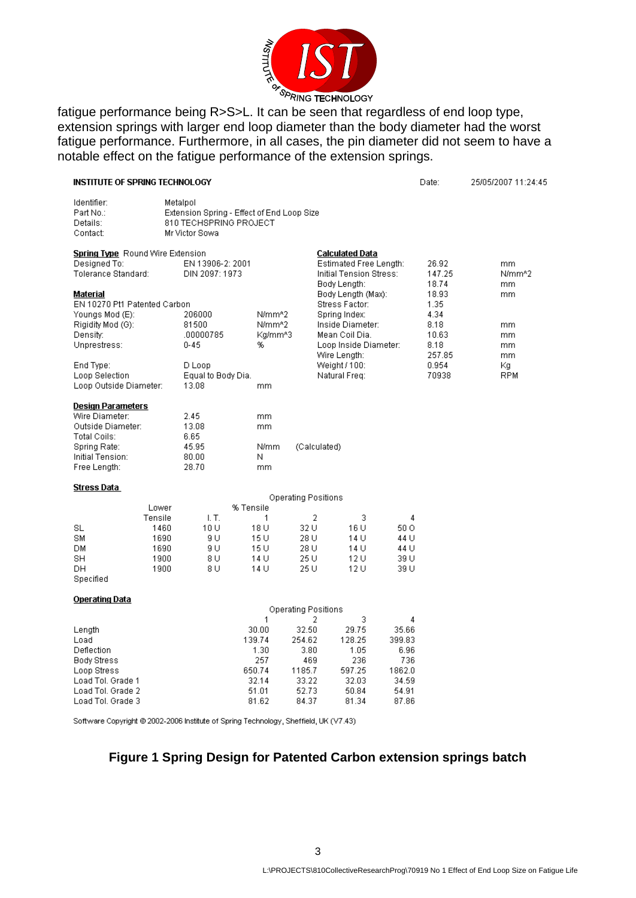

fatigue performance being R>S>L. It can be seen that regardless of end loop type, extension springs with larger end loop diameter than the body diameter had the worst fatigue performance. Furthermore, in all cases, the pin diameter did not seem to have a notable effect on the fatigue performance of the extension springs.

| INSTITUTE OF SPRING TECHNOLOGY                                                                                                      |                                                                                                                                       |                                                                                      |                                                                                                        |                                                                                                                      |                                                                          | Date:                                          | 25/05/2007 11:24:45     |  |  |
|-------------------------------------------------------------------------------------------------------------------------------------|---------------------------------------------------------------------------------------------------------------------------------------|--------------------------------------------------------------------------------------|--------------------------------------------------------------------------------------------------------|----------------------------------------------------------------------------------------------------------------------|--------------------------------------------------------------------------|------------------------------------------------|-------------------------|--|--|
| Identifier:<br>Part No.:<br>Details:<br>Contact:                                                                                    | Metalpol<br>Extension Spring - Effect of End Loop Size<br>810 TECHSPRING PROJECT<br>Mr Victor Sowa                                    |                                                                                      |                                                                                                        |                                                                                                                      |                                                                          |                                                |                         |  |  |
| Spring Type Round Wire Extension<br>Designed To:<br>Tolerance Standard:                                                             |                                                                                                                                       | Calculated Data<br>Estimated Free Length:<br>Initial Tension Stress:<br>Body Length: |                                                                                                        | 26.92<br>147.25<br>18.74                                                                                             | mm.<br>N/mm <sup>A2</sup><br>mm.                                         |                                                |                         |  |  |
| Material<br>Youngs Mod (E):<br>Rigidity Mod (G):<br>Density:<br>Unprestress:                                                        | EN 10270 Pt1 Patented Carbon<br>206000<br>N/mm <sup>4</sup> 2<br>81500<br>N/mm <sup>42</sup><br>.00000785<br>Kg/mm^3<br>$0 - 45$<br>% |                                                                                      |                                                                                                        | Body Length (Max):<br>Stress Factor:<br>Spring Index:<br>Inside Diameter:<br>Mean Coil Dia.<br>Loop Inside Diameter: |                                                                          | 18.93<br>1.35<br>4.34<br>8.18<br>10.63<br>8.18 | mm.<br>mm.<br>mm<br>mm. |  |  |
| End Type:<br>Loop Selection<br>Loop Outside Diameter:                                                                               | D Loop<br>Equal to Body Dia.<br>13.08                                                                                                 | mm                                                                                   |                                                                                                        | Wire Length:<br>Weight / 100:<br>Natural Freq:                                                                       |                                                                          | 257.85<br>0.954<br>70938                       | mm.<br>Κg<br><b>RPM</b> |  |  |
| <b>Design Parameters</b><br>Wire Diameter:<br>Outside Diameter:<br>Total Coils:<br>Spring Rate:<br>Initial Tension:<br>Free Length: | 2.45<br>13.08<br>6.65<br>45.95<br>80.00<br>28.70                                                                                      | mm<br>mm<br>N/mm<br>Ν<br>mm                                                          | (Calculated)                                                                                           |                                                                                                                      |                                                                          |                                                |                         |  |  |
| Stress Data                                                                                                                         |                                                                                                                                       |                                                                                      |                                                                                                        |                                                                                                                      |                                                                          |                                                |                         |  |  |
| Lower<br>Tensile<br>SL<br>SM<br>DМ<br>SH<br>DН<br>Specified                                                                         | I. T.<br>10 U<br>1460<br>1690<br>9 U<br>9 U<br>1690<br>1900<br>8 U<br>1900<br>8 U                                                     | % Tensile<br>$\mathbf{1}$<br>18 U<br>15 U<br>15 U<br>14 U<br>14 U                    | <b>Operating Positions</b><br>2<br>32 U<br>28 U<br>28 U<br>25 U<br>25 U                                | 3<br>16 U<br>14 U<br>14 U<br>12 U<br>12 U                                                                            | 4<br>50 O<br>44 U<br>44 U<br>39 U<br>39 U                                |                                                |                         |  |  |
| <b>Operating Data</b>                                                                                                               |                                                                                                                                       |                                                                                      |                                                                                                        |                                                                                                                      |                                                                          |                                                |                         |  |  |
| Length<br>Load<br>Deflection<br><b>Body Stress</b><br>Loop Stress<br>Load Tol. Grade 1<br>Load Tol. Grade 2<br>Load Tol. Grade 3    |                                                                                                                                       | $\mathbf{1}$<br>30.00<br>139.74<br>1.30<br>257<br>650.74<br>32.14<br>51.01<br>81.62  | <b>Operating Positions</b><br>2<br>32.50<br>254.62<br>3.80<br>469<br>1185.7<br>33.22<br>52.73<br>84.37 | 3<br>29.75<br>128.25<br>1.05<br>236<br>597.25<br>32.03<br>50.84<br>81.34                                             | 4<br>35.66<br>399.83<br>6.96<br>736<br>1862.0<br>34.59<br>54.91<br>87.86 |                                                |                         |  |  |

Software Copyright @ 2002-2006 Institute of Spring Technology, Sheffield, UK (V7.43)

#### **Figure 1 Spring Design for Patented Carbon extension springs batch**